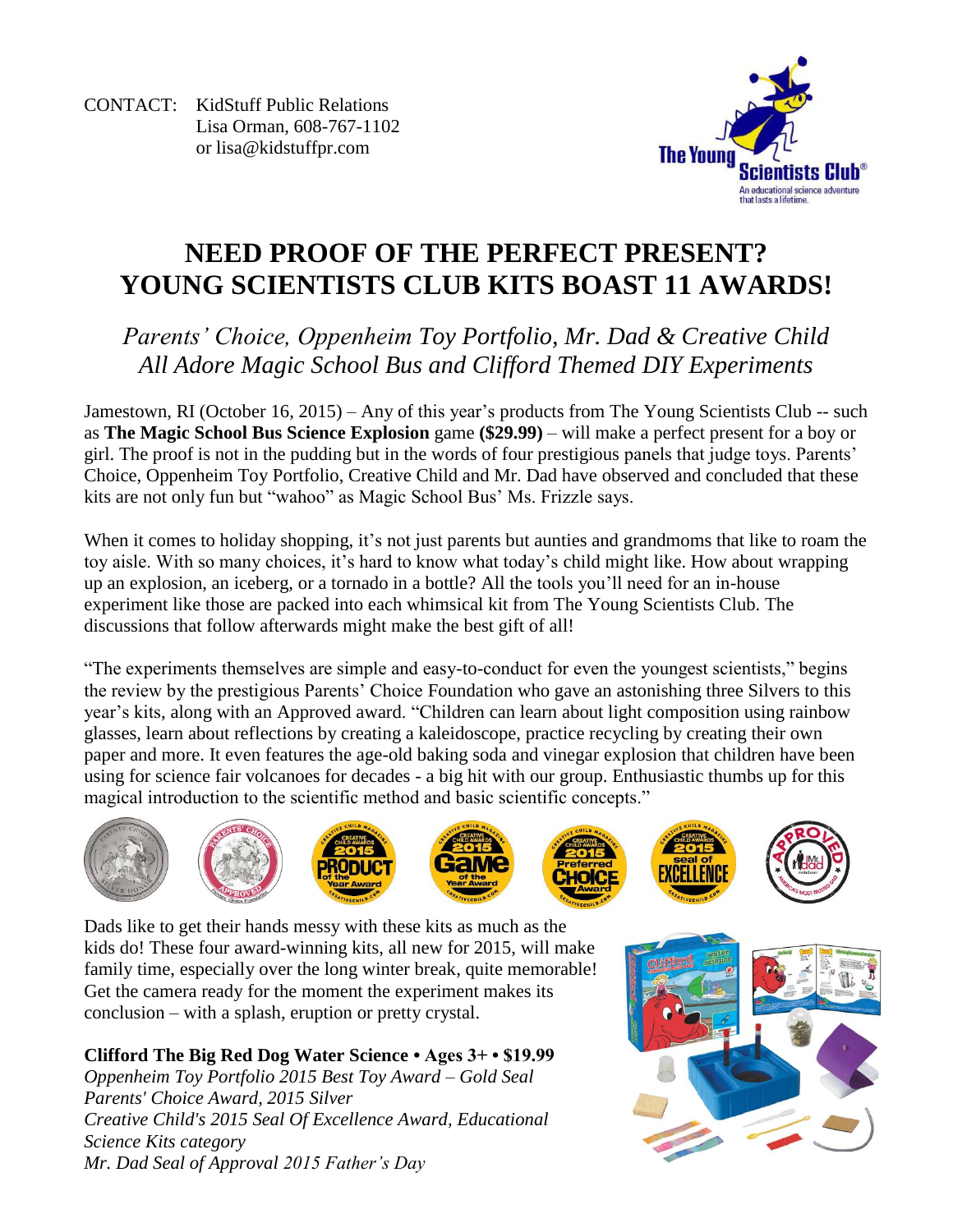CONTACT: KidStuff Public Relations Lisa Orman, 608-767-1102 or [lisa@kidstuffpr.com](mailto:lisa@kidstuffpr.com)



# **NEED PROOF OF THE PERFECT PRESENT? YOUNG SCIENTISTS CLUB KITS BOAST 11 AWARDS!**

## *Parents' Choice, Oppenheim Toy Portfolio, Mr. Dad & Creative Child All Adore Magic School Bus and Clifford Themed DIY Experiments*

Jamestown, RI (October 16, 2015) – Any of this year's products from The Young Scientists Club -- such as **The Magic School Bus Science Explosion** game **(\$29.99)** – will make a perfect present for a boy or girl. The proof is not in the pudding but in the words of four prestigious panels that judge toys. Parents' Choice, Oppenheim Toy Portfolio, Creative Child and Mr. Dad have observed and concluded that these kits are not only fun but "wahoo" as Magic School Bus' Ms. Frizzle says.

When it comes to holiday shopping, it's not just parents but aunties and grandmoms that like to roam the toy aisle. With so many choices, it's hard to know what today's child might like. How about wrapping up an explosion, an iceberg, or a tornado in a bottle? All the tools you'll need for an in-house experiment like those are packed into each whimsical kit from The Young Scientists Club. The discussions that follow afterwards might make the best gift of all!

"The experiments themselves are simple and easy-to-conduct for even the youngest scientists," begins the review by the prestigious Parents' Choice Foundation who gave an astonishing three Silvers to this year's kits, along with an Approved award. "Children can learn about light composition using rainbow glasses, learn about reflections by creating a kaleidoscope, practice recycling by creating their own paper and more. It even features the age-old baking soda and vinegar explosion that children have been using for science fair volcanoes for decades - a big hit with our group. Enthusiastic thumbs up for this magical introduction to the scientific method and basic scientific concepts."













Dads like to get their hands messy with these kits as much as the kids do! These four award-winning kits, all new for 2015, will make family time, especially over the long winter break, quite memorable! Get the camera ready for the moment the experiment makes its conclusion – with a splash, eruption or pretty crystal.

**Clifford The Big Red Dog Water Science • Ages 3+ • \$19.99** *Oppenheim Toy Portfolio 2015 Best Toy Award – Gold Seal Parents' Choice Award, 2015 Silver Creative Child's 2015 Seal Of Excellence Award, Educational Science Kits category Mr. Dad Seal of Approval 2015 Father's Day* 

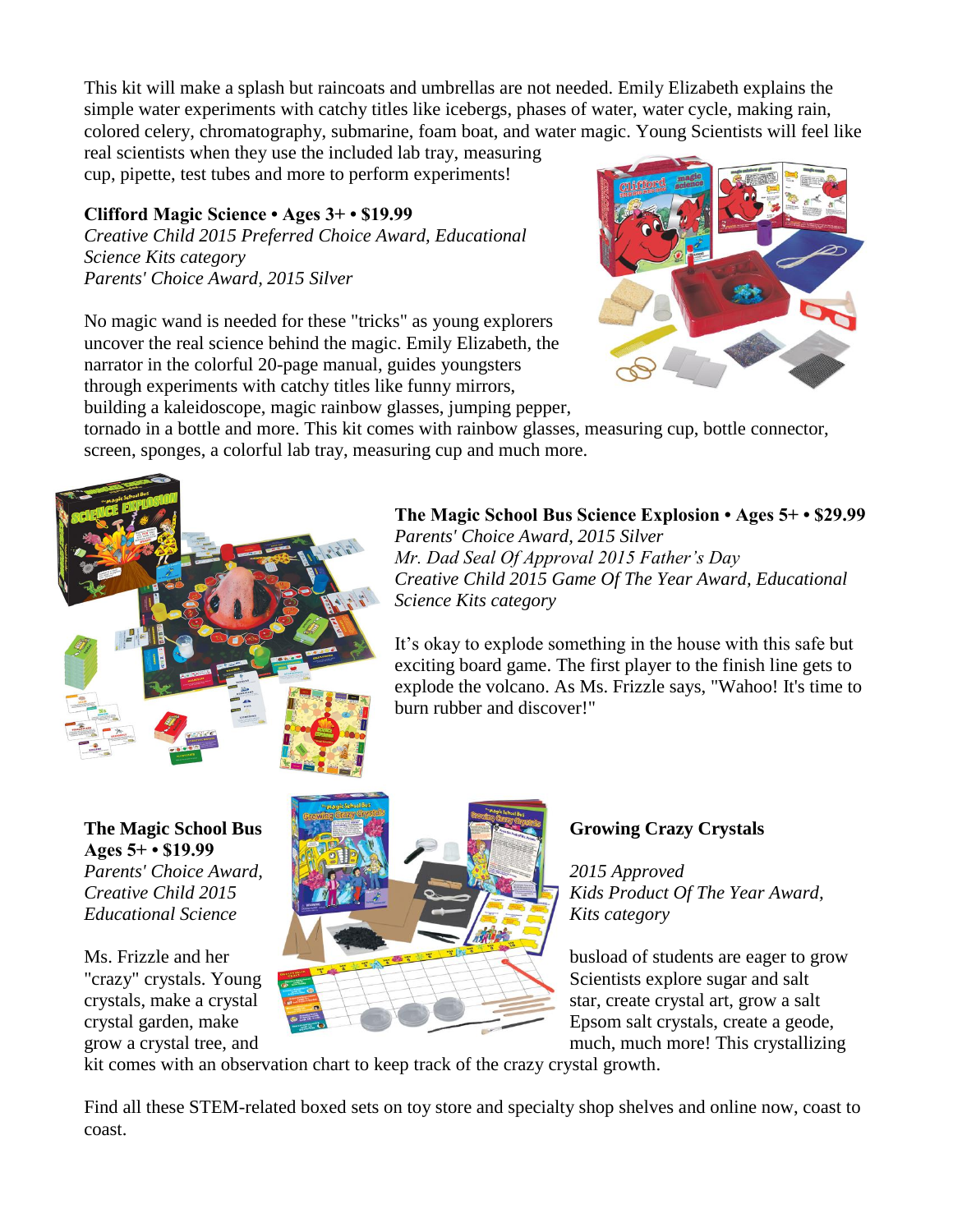This kit will make a splash but raincoats and umbrellas are not needed. Emily Elizabeth explains the simple water experiments with catchy titles like icebergs, phases of water, water cycle, making rain, colored celery, chromatography, submarine, foam boat, and water magic. Young Scientists will feel like

real scientists when they use the included lab tray, measuring cup, pipette, test tubes and more to perform experiments!

## **Clifford Magic Science • Ages 3+ • \$19.99**

*Creative Child 2015 Preferred Choice Award, Educational Science Kits category Parents' Choice Award, 2015 Silver*

No magic wand is needed for these "tricks" as young explorers uncover the real science behind the magic. Emily Elizabeth, the narrator in the colorful 20-page manual, guides youngsters through experiments with catchy titles like funny mirrors, building a kaleidoscope, magic rainbow glasses, jumping pepper,



tornado in a bottle and more. This kit comes with rainbow glasses, measuring cup, bottle connector, screen, sponges, a colorful lab tray, measuring cup and much more.



## **The Magic School Bus Science Explosion • Ages 5+ • \$29.99**

*Parents' Choice Award, 2015 Silver Mr. Dad Seal Of Approval 2015 Father's Day Creative Child 2015 Game Of The Year Award, Educational Science Kits category*

It's okay to explode something in the house with this safe but exciting board game. The first player to the finish line gets to explode the volcano. As Ms. Frizzle says, "Wahoo! It's time to burn rubber and discover!"

**Ages 5+ • \$19.99**



grow a crystal tree, and much, much more! This crystallizing

kit comes with an observation chart to keep track of the crazy crystal growth.

Find all these STEM-related boxed sets on toy store and specialty shop shelves and online now, coast to coast.